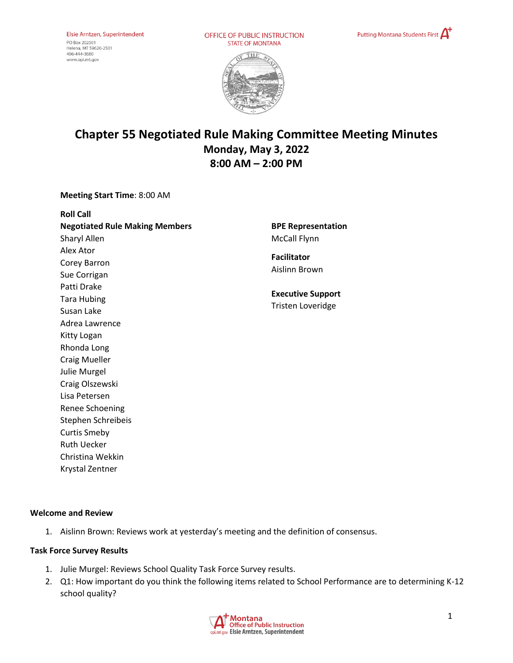PO Box 202501 Helena, MT 59620-2501<br>406-444-3680 www.opi.mt.gov

OFFICE OF PUBLIC INSTRUCTION **STATE OF MONTANA** 





# **Chapter 55 Negotiated Rule Making Committee Meeting Minutes Monday, May 3, 2022 8:00 AM – 2:00 PM**

**Meeting Start Time**: 8:00 AM

**Roll Call Negotiated Rule Making Members** Sharyl Allen Alex Ator Corey Barron Sue Corrigan Patti Drake Tara Hubing Susan Lake Adrea Lawrence Kitty Logan Rhonda Long Craig Mueller Julie Murgel Craig Olszewski Lisa Petersen Renee Schoening Stephen Schreibeis Curtis Smeby Ruth Uecker Christina Wekkin

**BPE Representation**  McCall Flynn

**Facilitator** Aislinn Brown

**Executive Support** Tristen Loveridge

## **Welcome and Review**

1. Aislinn Brown: Reviews work at yesterday's meeting and the definition of consensus.

#### **Task Force Survey Results**

Krystal Zentner

- 1. Julie Murgel: Reviews School Quality Task Force Survey results.
- 2. Q1: How important do you think the following items related to School Performance are to determining K-12 school quality?

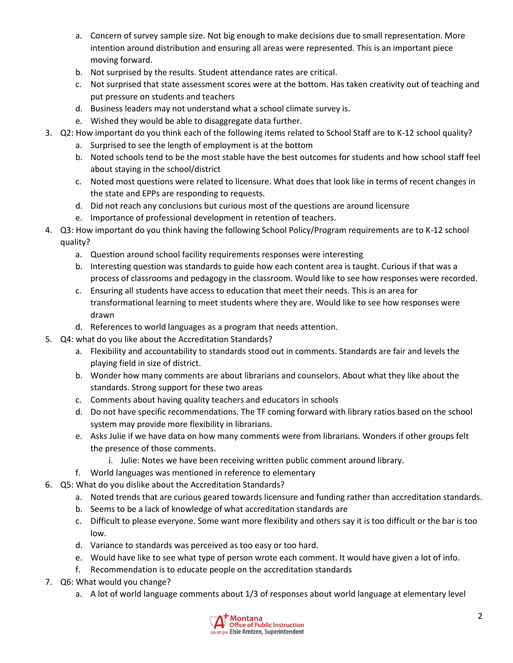- a. Concern of survey sample size. Not big enough to make decisions due to small representation. More intention around distribution and ensuring all areas were represented. This is an important piece moving forward.
- b. Not surprised by the results. Student attendance rates are critical.
- c. Not surprised that state assessment scores were at the bottom. Has taken creativity out of teaching and put pressure on students and teachers
- d. Business leaders may not understand what a school climate survey is.
- e. Wished they would be able to disaggregate data further.
- 3. Q2: How important do you think each of the following items related to School Staff are to K-12 school quality?
	- a. Surprised to see the length of employment is at the bottom
	- b. Noted schools tend to be the most stable have the best outcomes for students and how school staff feel about staying in the school/district
	- c. Noted most questions were related to licensure. What does that look like in terms of recent changes in the state and EPPs are responding to requests.
	- d. Did not reach any conclusions but curious most of the questions are around licensure
	- e. Importance of professional development in retention of teachers.
- 4. Q3: How important do you think having the following School Policy/Program requirements are to K-12 school quality?
	- a. Question around school facility requirements responses were interesting
	- b. Interesting question was standards to guide how each content area is taught. Curious if that was a process of classrooms and pedagogy in the classroom. Would like to see how responses were recorded.
	- c. Ensuring all students have access to education that meet their needs. This is an area for transformational learning to meet students where they are. Would like to see how responses were drawn
	- d. References to world languages as a program that needs attention.
- 5. Q4: what do you like about the Accreditation Standards?
	- a. Flexibility and accountability to standards stood out in comments. Standards are fair and levels the playing field in size of district.
	- b. Wonder how many comments are about librarians and counselors. About what they like about the standards. Strong support for these two areas
	- c. Comments about having quality teachers and educators in schools
	- d. Do not have specific recommendations. The TF coming forward with library ratios based on the school system may provide more flexibility in librarians.
	- e. Asks Julie if we have data on how many comments were from librarians. Wonders if other groups felt the presence of those comments.
		- i. Julie: Notes we have been receiving written public comment around library.
	- f. World languages was mentioned in reference to elementary
- 6. Q5: What do you dislike about the Accreditation Standards?
	- a. Noted trends that are curious geared towards licensure and funding rather than accreditation standards.
	- b. Seems to be a lack of knowledge of what accreditation standards are
	- c. Difficult to please everyone. Some want more flexibility and others say it is too difficult or the bar is too low.
	- d. Variance to standards was perceived as too easy or too hard.
	- e. Would have like to see what type of person wrote each comment. It would have given a lot of info.
	- f. Recommendation is to educate people on the accreditation standards
- 7. Q6: What would you change?
	- a. A lot of world language comments about 1/3 of responses about world language at elementary level

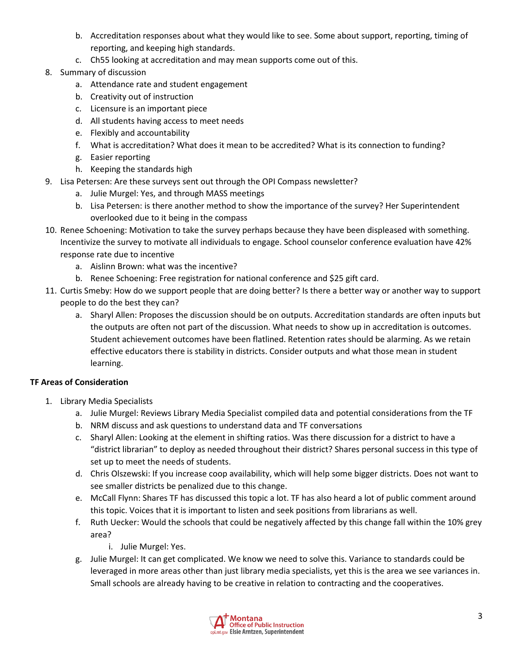- b. Accreditation responses about what they would like to see. Some about support, reporting, timing of reporting, and keeping high standards.
- c. Ch55 looking at accreditation and may mean supports come out of this.
- 8. Summary of discussion
	- a. Attendance rate and student engagement
	- b. Creativity out of instruction
	- c. Licensure is an important piece
	- d. All students having access to meet needs
	- e. Flexibly and accountability
	- f. What is accreditation? What does it mean to be accredited? What is its connection to funding?
	- g. Easier reporting
	- h. Keeping the standards high
- 9. Lisa Petersen: Are these surveys sent out through the OPI Compass newsletter?
	- a. Julie Murgel: Yes, and through MASS meetings
	- b. Lisa Petersen: is there another method to show the importance of the survey? Her Superintendent overlooked due to it being in the compass
- 10. Renee Schoening: Motivation to take the survey perhaps because they have been displeased with something. Incentivize the survey to motivate all individuals to engage. School counselor conference evaluation have 42% response rate due to incentive
	- a. Aislinn Brown: what was the incentive?
	- b. Renee Schoening: Free registration for national conference and \$25 gift card.
- 11. Curtis Smeby: How do we support people that are doing better? Is there a better way or another way to support people to do the best they can?
	- a. Sharyl Allen: Proposes the discussion should be on outputs. Accreditation standards are often inputs but the outputs are often not part of the discussion. What needs to show up in accreditation is outcomes. Student achievement outcomes have been flatlined. Retention rates should be alarming. As we retain effective educators there is stability in districts. Consider outputs and what those mean in student learning.

## **TF Areas of Consideration**

- 1. Library Media Specialists
	- a. Julie Murgel: Reviews Library Media Specialist compiled data and potential considerations from the TF
	- b. NRM discuss and ask questions to understand data and TF conversations
	- c. Sharyl Allen: Looking at the element in shifting ratios. Was there discussion for a district to have a "district librarian" to deploy as needed throughout their district? Shares personal success in this type of set up to meet the needs of students.
	- d. Chris Olszewski: If you increase coop availability, which will help some bigger districts. Does not want to see smaller districts be penalized due to this change.
	- e. McCall Flynn: Shares TF has discussed this topic a lot. TF has also heard a lot of public comment around this topic. Voices that it is important to listen and seek positions from librarians as well.
	- f. Ruth Uecker: Would the schools that could be negatively affected by this change fall within the 10% grey area?
		- i. Julie Murgel: Yes.
	- g. Julie Murgel: It can get complicated. We know we need to solve this. Variance to standards could be leveraged in more areas other than just library media specialists, yet this is the area we see variances in. Small schools are already having to be creative in relation to contracting and the cooperatives.

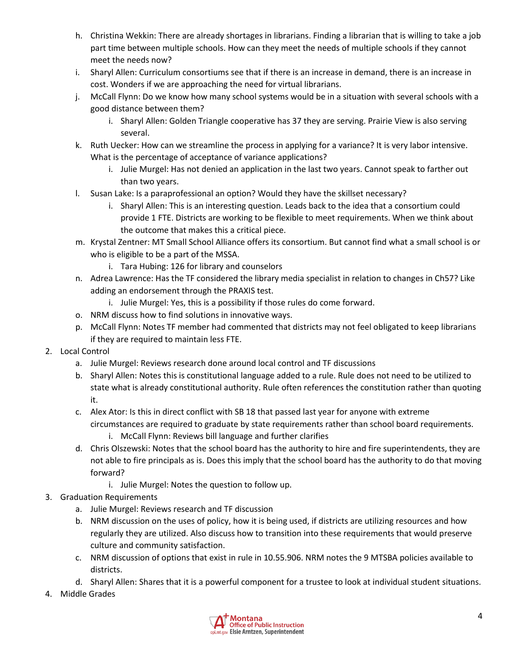- h. Christina Wekkin: There are already shortages in librarians. Finding a librarian that is willing to take a job part time between multiple schools. How can they meet the needs of multiple schools if they cannot meet the needs now?
- i. Sharyl Allen: Curriculum consortiums see that if there is an increase in demand, there is an increase in cost. Wonders if we are approaching the need for virtual librarians.
- j. McCall Flynn: Do we know how many school systems would be in a situation with several schools with a good distance between them?
	- i. Sharyl Allen: Golden Triangle cooperative has 37 they are serving. Prairie View is also serving several.
- k. Ruth Uecker: How can we streamline the process in applying for a variance? It is very labor intensive. What is the percentage of acceptance of variance applications?
	- i. Julie Murgel: Has not denied an application in the last two years. Cannot speak to farther out than two years.
- l. Susan Lake: Is a paraprofessional an option? Would they have the skillset necessary?
	- i. Sharyl Allen: This is an interesting question. Leads back to the idea that a consortium could provide 1 FTE. Districts are working to be flexible to meet requirements. When we think about the outcome that makes this a critical piece.
- m. Krystal Zentner: MT Small School Alliance offers its consortium. But cannot find what a small school is or who is eligible to be a part of the MSSA.
	- i. Tara Hubing: 126 for library and counselors
- n. Adrea Lawrence: Has the TF considered the library media specialist in relation to changes in Ch57? Like adding an endorsement through the PRAXIS test.
	- i. Julie Murgel: Yes, this is a possibility if those rules do come forward.
- o. NRM discuss how to find solutions in innovative ways.
- p. McCall Flynn: Notes TF member had commented that districts may not feel obligated to keep librarians if they are required to maintain less FTE.
- 2. Local Control
	- a. Julie Murgel: Reviews research done around local control and TF discussions
	- b. Sharyl Allen: Notes this is constitutional language added to a rule. Rule does not need to be utilized to state what is already constitutional authority. Rule often references the constitution rather than quoting it.
	- c. Alex Ator: Is this in direct conflict with SB 18 that passed last year for anyone with extreme circumstances are required to graduate by state requirements rather than school board requirements.
		- i. McCall Flynn: Reviews bill language and further clarifies
	- d. Chris Olszewski: Notes that the school board has the authority to hire and fire superintendents, they are not able to fire principals as is. Does this imply that the school board has the authority to do that moving forward?
		- i. Julie Murgel: Notes the question to follow up.
- 3. Graduation Requirements
	- a. Julie Murgel: Reviews research and TF discussion
	- b. NRM discussion on the uses of policy, how it is being used, if districts are utilizing resources and how regularly they are utilized. Also discuss how to transition into these requirements that would preserve culture and community satisfaction.
	- c. NRM discussion of options that exist in rule in 10.55.906. NRM notes the 9 MTSBA policies available to districts.
	- d. Sharyl Allen: Shares that it is a powerful component for a trustee to look at individual student situations.
- 4. Middle Grades

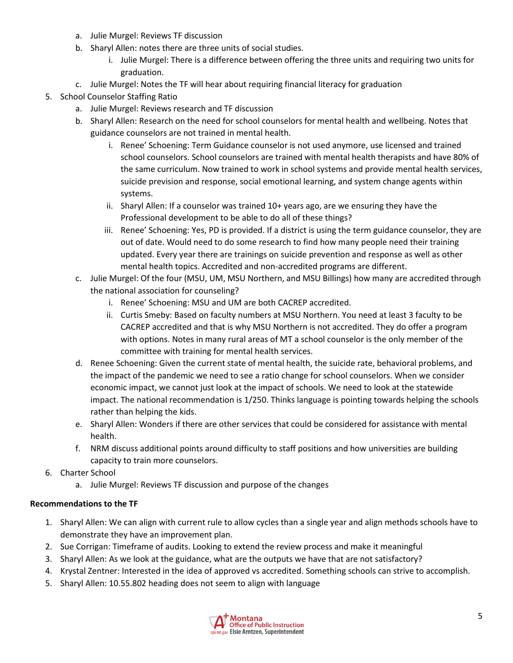- a. Julie Murgel: Reviews TF discussion
- b. Sharyl Allen: notes there are three units of social studies.
	- i. Julie Murgel: There is a difference between offering the three units and requiring two units for graduation.
- c. Julie Murgel: Notes the TF will hear about requiring financial literacy for graduation
- 5. School Counselor Staffing Ratio
	- a. Julie Murgel: Reviews research and TF discussion
	- b. Sharyl Allen: Research on the need for school counselors for mental health and wellbeing. Notes that guidance counselors are not trained in mental health.
		- i. Renee' Schoening: Term Guidance counselor is not used anymore, use licensed and trained school counselors. School counselors are trained with mental health therapists and have 80% of the same curriculum. Now trained to work in school systems and provide mental health services, suicide prevision and response, social emotional learning, and system change agents within systems.
		- ii. Sharyl Allen: If a counselor was trained 10+ years ago, are we ensuring they have the Professional development to be able to do all of these things?
		- iii. Renee' Schoening: Yes, PD is provided. If a district is using the term guidance counselor, they are out of date. Would need to do some research to find how many people need their training updated. Every year there are trainings on suicide prevention and response as well as other mental health topics. Accredited and non-accredited programs are different.
	- c. Julie Murgel: Of the four (MSU, UM, MSU Northern, and MSU Billings) how many are accredited through the national association for counseling?
		- i. Renee' Schoening: MSU and UM are both CACREP accredited.
		- ii. Curtis Smeby: Based on faculty numbers at MSU Northern. You need at least 3 faculty to be CACREP accredited and that is why MSU Northern is not accredited. They do offer a program with options. Notes in many rural areas of MT a school counselor is the only member of the committee with training for mental health services.
	- d. Renee Schoening: Given the current state of mental health, the suicide rate, behavioral problems, and the impact of the pandemic we need to see a ratio change for school counselors. When we consider economic impact, we cannot just look at the impact of schools. We need to look at the statewide impact. The national recommendation is 1/250. Thinks language is pointing towards helping the schools rather than helping the kids.
	- e. Sharyl Allen: Wonders if there are other services that could be considered for assistance with mental health.
	- f. NRM discuss additional points around difficulty to staff positions and how universities are building capacity to train more counselors.
- 6. Charter School
	- a. Julie Murgel: Reviews TF discussion and purpose of the changes

#### **Recommendations to the TF**

- 1. Sharyl Allen: We can align with current rule to allow cycles than a single year and align methods schools have to demonstrate they have an improvement plan.
- 2. Sue Corrigan: Timeframe of audits. Looking to extend the review process and make it meaningful
- 3. Sharyl Allen: As we look at the guidance, what are the outputs we have that are not satisfactory?
- 4. Krystal Zentner: Interested in the idea of approved vs accredited. Something schools can strive to accomplish.
- 5. Sharyl Allen: 10.55.802 heading does not seem to align with language

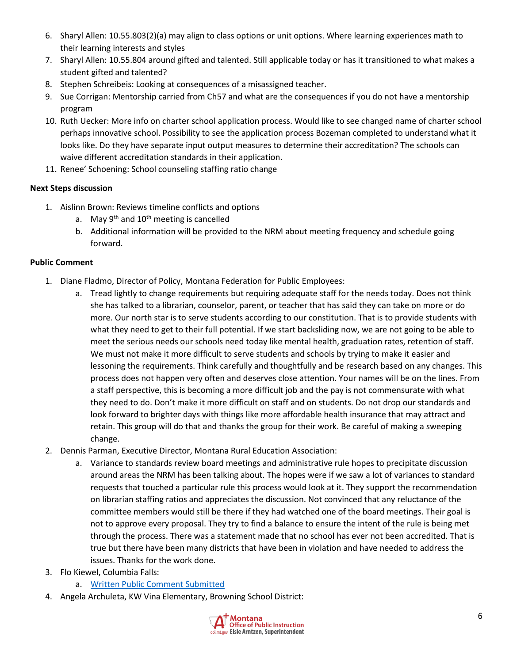- 6. Sharyl Allen: 10.55.803(2)(a) may align to class options or unit options. Where learning experiences math to their learning interests and styles
- 7. Sharyl Allen: 10.55.804 around gifted and talented. Still applicable today or has it transitioned to what makes a student gifted and talented?
- 8. Stephen Schreibeis: Looking at consequences of a misassigned teacher.
- 9. Sue Corrigan: Mentorship carried from Ch57 and what are the consequences if you do not have a mentorship program
- 10. Ruth Uecker: More info on charter school application process. Would like to see changed name of charter school perhaps innovative school. Possibility to see the application process Bozeman completed to understand what it looks like. Do they have separate input output measures to determine their accreditation? The schools can waive different accreditation standards in their application.
- 11. Renee' Schoening: School counseling staffing ratio change

# **Next Steps discussion**

- 1. Aislinn Brown: Reviews timeline conflicts and options
	- a. May  $9^{th}$  and  $10^{th}$  meeting is cancelled
	- b. Additional information will be provided to the NRM about meeting frequency and schedule going forward.

## **Public Comment**

- 1. Diane Fladmo, Director of Policy, Montana Federation for Public Employees:
	- a. Tread lightly to change requirements but requiring adequate staff for the needs today. Does not think she has talked to a librarian, counselor, parent, or teacher that has said they can take on more or do more. Our north star is to serve students according to our constitution. That is to provide students with what they need to get to their full potential. If we start backsliding now, we are not going to be able to meet the serious needs our schools need today like mental health, graduation rates, retention of staff. We must not make it more difficult to serve students and schools by trying to make it easier and lessoning the requirements. Think carefully and thoughtfully and be research based on any changes. This process does not happen very often and deserves close attention. Your names will be on the lines. From a staff perspective, this is becoming a more difficult job and the pay is not commensurate with what they need to do. Don't make it more difficult on staff and on students. Do not drop our standards and look forward to brighter days with things like more affordable health insurance that may attract and retain. This group will do that and thanks the group for their work. Be careful of making a sweeping change.
- 2. Dennis Parman, Executive Director, Montana Rural Education Association:
	- a. Variance to standards review board meetings and administrative rule hopes to precipitate discussion around areas the NRM has been talking about. The hopes were if we saw a lot of variances to standard requests that touched a particular rule this process would look at it. They support the recommendation on librarian staffing ratios and appreciates the discussion. Not convinced that any reluctance of the committee members would still be there if they had watched one of the board meetings. Their goal is not to approve every proposal. They try to find a balance to ensure the intent of the rule is being met through the process. There was a statement made that no school has ever not been accredited. That is true but there have been many districts that have been in violation and have needed to address the issues. Thanks for the work done.
- 3. Flo Kiewel, Columbia Falls:
	- a. [Written Public Comment Submitted](https://drive.google.com/file/d/1mlyKTbEc6Qk1AkETJ7Zzmw_mRzcF3xSy/view?usp=sharing)
- 4. Angela Archuleta, KW Vina Elementary, Browning School District: